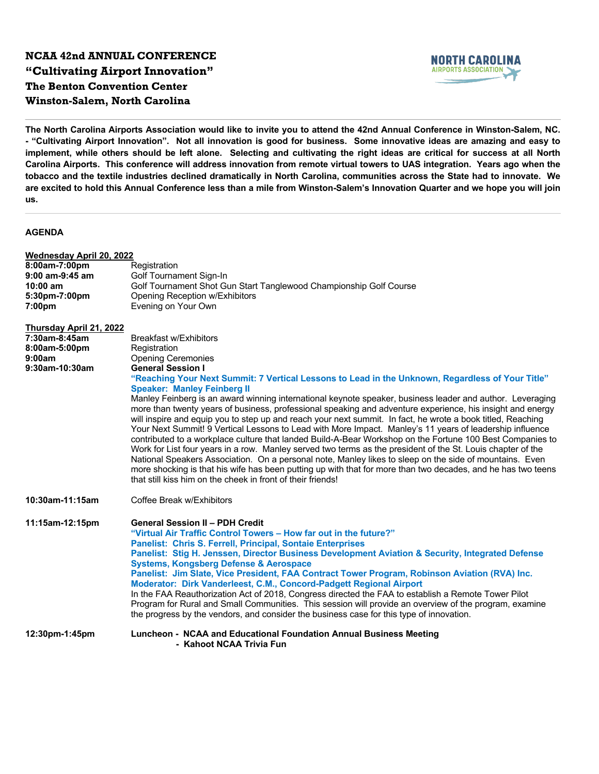## **NCAA 42nd ANNUAL CONFERENCE "Cultivating Airport Innovation" The Benton Convention Center Winston-Salem, North Carolina**



**The North Carolina Airports Association would like to invite you to attend the 42nd Annual Conference in Winston-Salem, NC. - "Cultivating Airport Innovation". Not all innovation is good for business. Some innovative ideas are amazing and easy to implement, while others should be left alone. Selecting and cultivating the right ideas are critical for success at all North Carolina Airports. This conference will address innovation from remote virtual towers to UAS integration. Years ago when the tobacco and the textile industries declined dramatically in North Carolina, communities across the State had to innovate. We are excited to hold this Annual Conference less than a mile from Winston-Salem's Innovation Quarter and we hope you will join us.** 

## **AGENDA**

| <b>Wednesday April 20, 2022</b> |                                                                                                                                                                                                                                                                                                                                                                                                                                                                                                                                                                                                                                                                                                                                                                                                                                                                                                                                                                          |
|---------------------------------|--------------------------------------------------------------------------------------------------------------------------------------------------------------------------------------------------------------------------------------------------------------------------------------------------------------------------------------------------------------------------------------------------------------------------------------------------------------------------------------------------------------------------------------------------------------------------------------------------------------------------------------------------------------------------------------------------------------------------------------------------------------------------------------------------------------------------------------------------------------------------------------------------------------------------------------------------------------------------|
| 8:00am-7:00pm                   | Registration                                                                                                                                                                                                                                                                                                                                                                                                                                                                                                                                                                                                                                                                                                                                                                                                                                                                                                                                                             |
| $9:00$ am- $9:45$ am            | Golf Tournament Sign-In                                                                                                                                                                                                                                                                                                                                                                                                                                                                                                                                                                                                                                                                                                                                                                                                                                                                                                                                                  |
| $10:00$ am                      | Golf Tournament Shot Gun Start Tanglewood Championship Golf Course                                                                                                                                                                                                                                                                                                                                                                                                                                                                                                                                                                                                                                                                                                                                                                                                                                                                                                       |
| 5:30pm-7:00pm                   | <b>Opening Reception w/Exhibitors</b>                                                                                                                                                                                                                                                                                                                                                                                                                                                                                                                                                                                                                                                                                                                                                                                                                                                                                                                                    |
| 7:00 <sub>pm</sub>              | Evening on Your Own                                                                                                                                                                                                                                                                                                                                                                                                                                                                                                                                                                                                                                                                                                                                                                                                                                                                                                                                                      |
| <b>Thursday April 21, 2022</b>  |                                                                                                                                                                                                                                                                                                                                                                                                                                                                                                                                                                                                                                                                                                                                                                                                                                                                                                                                                                          |
| 7:30am-8:45am                   | <b>Breakfast w/Exhibitors</b>                                                                                                                                                                                                                                                                                                                                                                                                                                                                                                                                                                                                                                                                                                                                                                                                                                                                                                                                            |
| 8:00am-5:00pm                   | Registration                                                                                                                                                                                                                                                                                                                                                                                                                                                                                                                                                                                                                                                                                                                                                                                                                                                                                                                                                             |
| 9:00am                          | <b>Opening Ceremonies</b>                                                                                                                                                                                                                                                                                                                                                                                                                                                                                                                                                                                                                                                                                                                                                                                                                                                                                                                                                |
| 9:30am-10:30am                  | <b>General Session I</b>                                                                                                                                                                                                                                                                                                                                                                                                                                                                                                                                                                                                                                                                                                                                                                                                                                                                                                                                                 |
|                                 | "Reaching Your Next Summit: 7 Vertical Lessons to Lead in the Unknown, Regardless of Your Title"<br><b>Speaker: Manley Feinberg II</b>                                                                                                                                                                                                                                                                                                                                                                                                                                                                                                                                                                                                                                                                                                                                                                                                                                   |
|                                 | Manley Feinberg is an award winning international keynote speaker, business leader and author. Leveraging<br>more than twenty years of business, professional speaking and adventure experience, his insight and energy<br>will inspire and equip you to step up and reach your next summit. In fact, he wrote a book titled, Reaching<br>Your Next Summit! 9 Vertical Lessons to Lead with More Impact. Manley's 11 years of leadership influence<br>contributed to a workplace culture that landed Build-A-Bear Workshop on the Fortune 100 Best Companies to<br>Work for List four years in a row. Manley served two terms as the president of the St. Louis chapter of the<br>National Speakers Association. On a personal note, Manley likes to sleep on the side of mountains. Even<br>more shocking is that his wife has been putting up with that for more than two decades, and he has two teens<br>that still kiss him on the cheek in front of their friends! |
| 10:30am-11:15am                 | Coffee Break w/Exhibitors                                                                                                                                                                                                                                                                                                                                                                                                                                                                                                                                                                                                                                                                                                                                                                                                                                                                                                                                                |
| 11:15am-12:15pm                 | <b>General Session II - PDH Credit</b><br>"Virtual Air Traffic Control Towers – How far out in the future?"<br><b>Panelist: Chris S. Ferrell, Principal, Sontaie Enterprises</b><br>Panelist: Stig H. Jenssen, Director Business Development Aviation & Security, Integrated Defense<br><b>Systems, Kongsberg Defense &amp; Aerospace</b><br>Panelist: Jim Slate, Vice President, FAA Contract Tower Program, Robinson Aviation (RVA) Inc.<br>Moderator: Dirk Vanderleest, C.M., Concord-Padgett Regional Airport<br>In the FAA Reauthorization Act of 2018, Congress directed the FAA to establish a Remote Tower Pilot<br>Program for Rural and Small Communities. This session will provide an overview of the program, examine<br>the progress by the vendors, and consider the business case for this type of innovation.                                                                                                                                           |
| 12:30pm-1:45pm                  | Luncheon - NCAA and Educational Foundation Annual Business Meeting<br>- Kahoot NCAA Trivia Fun                                                                                                                                                                                                                                                                                                                                                                                                                                                                                                                                                                                                                                                                                                                                                                                                                                                                           |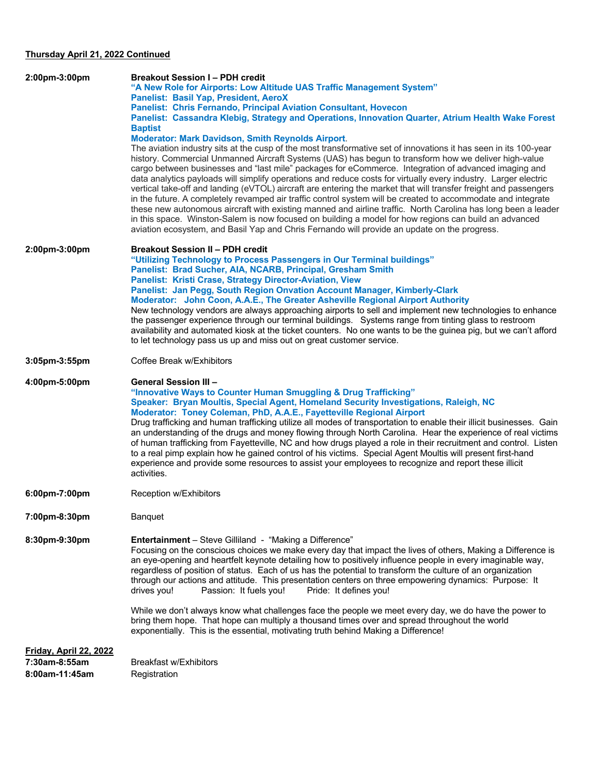## **Thursday April 21, 2022 Continued**

| 2:00pm-3:00pm                   | <b>Breakout Session I-PDH credit</b><br>"A New Role for Airports: Low Altitude UAS Traffic Management System"<br>Panelist: Basil Yap, President, AeroX<br><b>Panelist: Chris Fernando, Principal Aviation Consultant, Hovecon</b><br>Panelist: Cassandra Klebig, Strategy and Operations, Innovation Quarter, Atrium Health Wake Forest<br><b>Baptist</b><br><b>Moderator: Mark Davidson, Smith Reynolds Airport.</b><br>The aviation industry sits at the cusp of the most transformative set of innovations it has seen in its 100-year<br>history. Commercial Unmanned Aircraft Systems (UAS) has begun to transform how we deliver high-value<br>cargo between businesses and "last mile" packages for eCommerce. Integration of advanced imaging and<br>data analytics payloads will simplify operations and reduce costs for virtually every industry. Larger electric<br>vertical take-off and landing (eVTOL) aircraft are entering the market that will transfer freight and passengers<br>in the future. A completely revamped air traffic control system will be created to accommodate and integrate<br>these new autonomous aircraft with existing manned and airline traffic. North Carolina has long been a leader<br>in this space. Winston-Salem is now focused on building a model for how regions can build an advanced |
|---------------------------------|--------------------------------------------------------------------------------------------------------------------------------------------------------------------------------------------------------------------------------------------------------------------------------------------------------------------------------------------------------------------------------------------------------------------------------------------------------------------------------------------------------------------------------------------------------------------------------------------------------------------------------------------------------------------------------------------------------------------------------------------------------------------------------------------------------------------------------------------------------------------------------------------------------------------------------------------------------------------------------------------------------------------------------------------------------------------------------------------------------------------------------------------------------------------------------------------------------------------------------------------------------------------------------------------------------------------------------------------|
| 2:00pm-3:00pm                   | aviation ecosystem, and Basil Yap and Chris Fernando will provide an update on the progress.<br><b>Breakout Session II - PDH credit</b><br>"Utilizing Technology to Process Passengers in Our Terminal buildings"<br>Panelist: Brad Sucher, AIA, NCARB, Principal, Gresham Smith<br>Panelist: Kristi Crase, Strategy Director-Aviation, View<br>Panelist: Jan Pegg, South Region Onvation Account Manager, Kimberly-Clark<br>Moderator: John Coon, A.A.E., The Greater Asheville Regional Airport Authority<br>New technology vendors are always approaching airports to sell and implement new technologies to enhance<br>the passenger experience through our terminal buildings.  Systems range from tinting glass to restroom<br>availability and automated kiosk at the ticket counters. No one wants to be the guinea pig, but we can't afford<br>to let technology pass us up and miss out on great customer service.                                                                                                                                                                                                                                                                                                                                                                                                               |
| 3:05pm-3:55pm                   | Coffee Break w/Exhibitors                                                                                                                                                                                                                                                                                                                                                                                                                                                                                                                                                                                                                                                                                                                                                                                                                                                                                                                                                                                                                                                                                                                                                                                                                                                                                                                  |
| 4:00pm-5:00pm                   | <b>General Session III -</b><br>"Innovative Ways to Counter Human Smuggling & Drug Trafficking"<br>Speaker: Bryan Moultis, Special Agent, Homeland Security Investigations, Raleigh, NC<br>Moderator: Toney Coleman, PhD, A.A.E., Fayetteville Regional Airport<br>Drug trafficking and human trafficking utilize all modes of transportation to enable their illicit businesses. Gain<br>an understanding of the drugs and money flowing through North Carolina. Hear the experience of real victims<br>of human trafficking from Fayetteville, NC and how drugs played a role in their recruitment and control. Listen<br>to a real pimp explain how he gained control of his victims. Special Agent Moultis will present first-hand<br>experience and provide some resources to assist your employees to recognize and report these illicit<br>activities.                                                                                                                                                                                                                                                                                                                                                                                                                                                                              |
| 6:00pm-7:00pm                   | Reception w/Exhibitors                                                                                                                                                                                                                                                                                                                                                                                                                                                                                                                                                                                                                                                                                                                                                                                                                                                                                                                                                                                                                                                                                                                                                                                                                                                                                                                     |
| 7:00pm-8:30pm                   | Banquet                                                                                                                                                                                                                                                                                                                                                                                                                                                                                                                                                                                                                                                                                                                                                                                                                                                                                                                                                                                                                                                                                                                                                                                                                                                                                                                                    |
| 8:30pm-9:30pm                   | <b>Entertainment</b> - Steve Gilliland - "Making a Difference"<br>Focusing on the conscious choices we make every day that impact the lives of others, Making a Difference is<br>an eye-opening and heartfelt keynote detailing how to positively influence people in every imaginable way,<br>regardless of position of status. Each of us has the potential to transform the culture of an organization<br>through our actions and attitude. This presentation centers on three empowering dynamics: Purpose: It<br>drives you!<br>Passion: It fuels you!<br>Pride: It defines you!<br>While we don't always know what challenges face the people we meet every day, we do have the power to<br>bring them hope. That hope can multiply a thousand times over and spread throughout the world<br>exponentially. This is the essential, motivating truth behind Making a Difference!                                                                                                                                                                                                                                                                                                                                                                                                                                                      |
| <b>Friday, April 22, 2022</b>   |                                                                                                                                                                                                                                                                                                                                                                                                                                                                                                                                                                                                                                                                                                                                                                                                                                                                                                                                                                                                                                                                                                                                                                                                                                                                                                                                            |
| 7:30am-8:55am<br>8:00am-11:45am | Breakfast w/Exhibitors<br>Registration                                                                                                                                                                                                                                                                                                                                                                                                                                                                                                                                                                                                                                                                                                                                                                                                                                                                                                                                                                                                                                                                                                                                                                                                                                                                                                     |